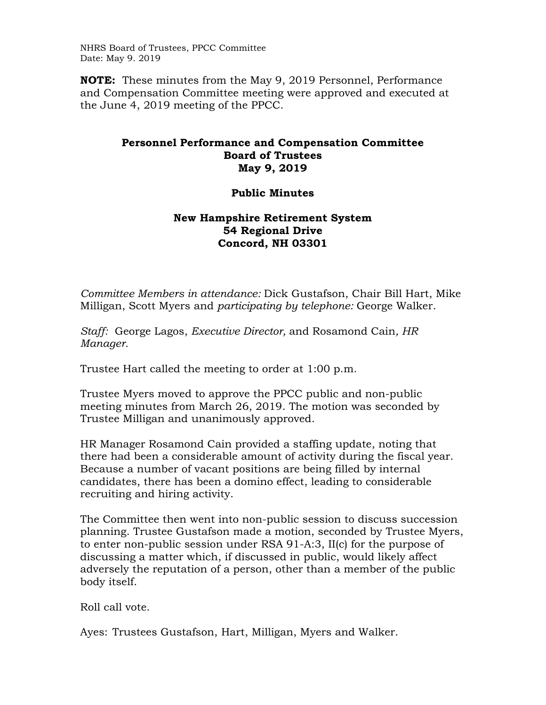NHRS Board of Trustees, PPCC Committee Date: May 9. 2019

**NOTE:** These minutes from the May 9, 2019 Personnel, Performance and Compensation Committee meeting were approved and executed at the June 4, 2019 meeting of the PPCC.

## **Personnel Performance and Compensation Committee Board of Trustees May 9, 2019**

## **Public Minutes**

## **New Hampshire Retirement System 54 Regional Drive Concord, NH 03301**

*Committee Members in attendance:* Dick Gustafson, Chair Bill Hart, Mike Milligan, Scott Myers and *participating by telephone:* George Walker.

*Staff:* George Lagos, *Executive Director,* and Rosamond Cain*, HR Manager.* 

Trustee Hart called the meeting to order at 1:00 p.m.

Trustee Myers moved to approve the PPCC public and non-public meeting minutes from March 26, 2019. The motion was seconded by Trustee Milligan and unanimously approved.

HR Manager Rosamond Cain provided a staffing update, noting that there had been a considerable amount of activity during the fiscal year. Because a number of vacant positions are being filled by internal candidates, there has been a domino effect, leading to considerable recruiting and hiring activity.

The Committee then went into non-public session to discuss succession planning. Trustee Gustafson made a motion, seconded by Trustee Myers, to enter non-public session under RSA 91-A:3, II(c) for the purpose of discussing a matter which, if discussed in public, would likely affect adversely the reputation of a person, other than a member of the public body itself.

Roll call vote.

Ayes: Trustees Gustafson, Hart, Milligan, Myers and Walker.